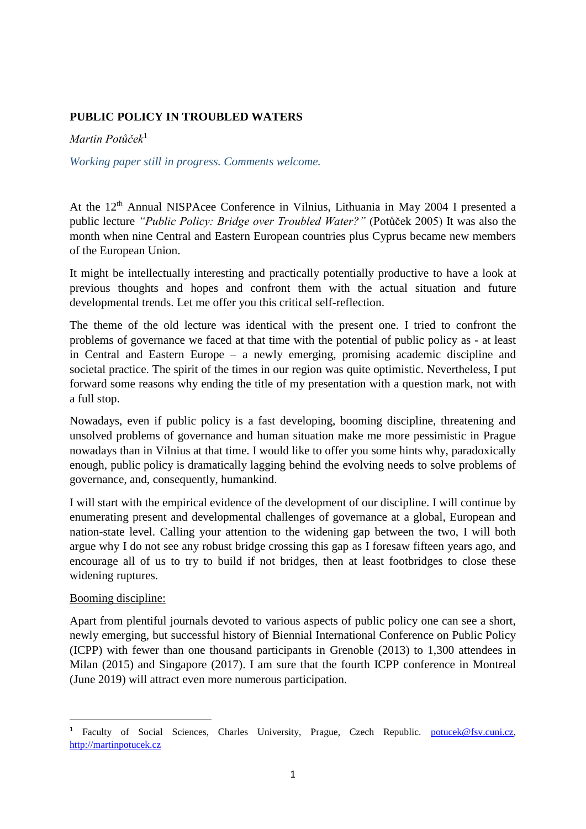# **PUBLIC POLICY IN TROUBLED WATERS**

*Martin Potůček*<sup>1</sup>

*Working paper still in progress. Comments welcome.*

At the 12<sup>th</sup> Annual NISPAcee Conference in Vilnius, Lithuania in May 2004 I presented a public lecture *"Public Policy: Bridge over Troubled Water?"* (Potůček 2005) It was also the month when nine Central and Eastern European countries plus Cyprus became new members of the European Union.

It might be intellectually interesting and practically potentially productive to have a look at previous thoughts and hopes and confront them with the actual situation and future developmental trends. Let me offer you this critical self-reflection.

The theme of the old lecture was identical with the present one. I tried to confront the problems of governance we faced at that time with the potential of public policy as - at least in Central and Eastern Europe – a newly emerging, promising academic discipline and societal practice. The spirit of the times in our region was quite optimistic. Nevertheless, I put forward some reasons why ending the title of my presentation with a question mark, not with a full stop.

Nowadays, even if public policy is a fast developing, booming discipline, threatening and unsolved problems of governance and human situation make me more pessimistic in Prague nowadays than in Vilnius at that time. I would like to offer you some hints why, paradoxically enough, public policy is dramatically lagging behind the evolving needs to solve problems of governance, and, consequently, humankind.

I will start with the empirical evidence of the development of our discipline. I will continue by enumerating present and developmental challenges of governance at a global, European and nation-state level. Calling your attention to the widening gap between the two, I will both argue why I do not see any robust bridge crossing this gap as I foresaw fifteen years ago, and encourage all of us to try to build if not bridges, then at least footbridges to close these widening ruptures.

### Booming discipline:

**.** 

Apart from plentiful journals devoted to various aspects of public policy one can see a short, newly emerging, but successful history of Biennial International Conference on Public Policy (ICPP) with fewer than one thousand participants in Grenoble (2013) to 1,300 attendees in Milan (2015) and Singapore (2017). I am sure that the fourth ICPP conference in Montreal (June 2019) will attract even more numerous participation.

<sup>&</sup>lt;sup>1</sup> Faculty of Social Sciences, Charles University, Prague, Czech Republic. [potucek@fsv.cuni.cz,](mailto:potucek@fsv.cuni.cz) [http://martinpotucek.cz](http://martinpotucek.cz/)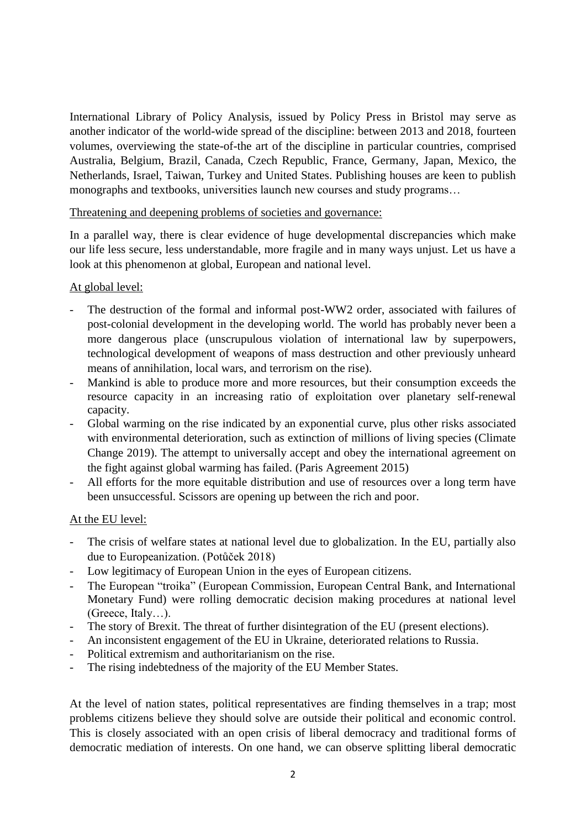International Library of Policy Analysis, issued by Policy Press in Bristol may serve as another indicator of the world-wide spread of the discipline: between 2013 and 2018, fourteen volumes, overviewing the state-of-the art of the discipline in particular countries, comprised Australia, Belgium, Brazil, Canada, Czech Republic, France, Germany, Japan, Mexico, the Netherlands, Israel, Taiwan, Turkey and United States. Publishing houses are keen to publish monographs and textbooks, universities launch new courses and study programs…

### Threatening and deepening problems of societies and governance:

In a parallel way, there is clear evidence of huge developmental discrepancies which make our life less secure, less understandable, more fragile and in many ways unjust. Let us have a look at this phenomenon at global, European and national level.

## At global level:

- The destruction of the formal and informal post-WW2 order, associated with failures of post-colonial development in the developing world. The world has probably never been a more dangerous place (unscrupulous violation of international law by superpowers, technological development of weapons of mass destruction and other previously unheard means of annihilation, local wars, and terrorism on the rise).
- Mankind is able to produce more and more resources, but their consumption exceeds the resource capacity in an increasing ratio of exploitation over planetary self-renewal capacity.
- Global warming on the rise indicated by an exponential curve, plus other risks associated with environmental deterioration, such as extinction of millions of living species (Climate Change 2019). The attempt to universally accept and obey the international agreement on the fight against global warming has failed. (Paris Agreement 2015)
- All efforts for the more equitable distribution and use of resources over a long term have been unsuccessful. Scissors are opening up between the rich and poor.

## At the EU level:

- The crisis of welfare states at national level due to globalization. In the EU, partially also due to Europeanization. (Potůček 2018)
- Low legitimacy of European Union in the eyes of European citizens.
- The European "troika" (European Commission, European Central Bank, and International Monetary Fund) were rolling democratic decision making procedures at national level (Greece, Italy…).
- The story of Brexit. The threat of further disintegration of the EU (present elections).
- An inconsistent engagement of the EU in Ukraine, deteriorated relations to Russia.
- Political extremism and authoritarianism on the rise.
- The rising indebtedness of the majority of the EU Member States.

At the level of nation states, political representatives are finding themselves in a trap; most problems citizens believe they should solve are outside their political and economic control. This is closely associated with an open crisis of liberal democracy and traditional forms of democratic mediation of interests. On one hand, we can observe splitting liberal democratic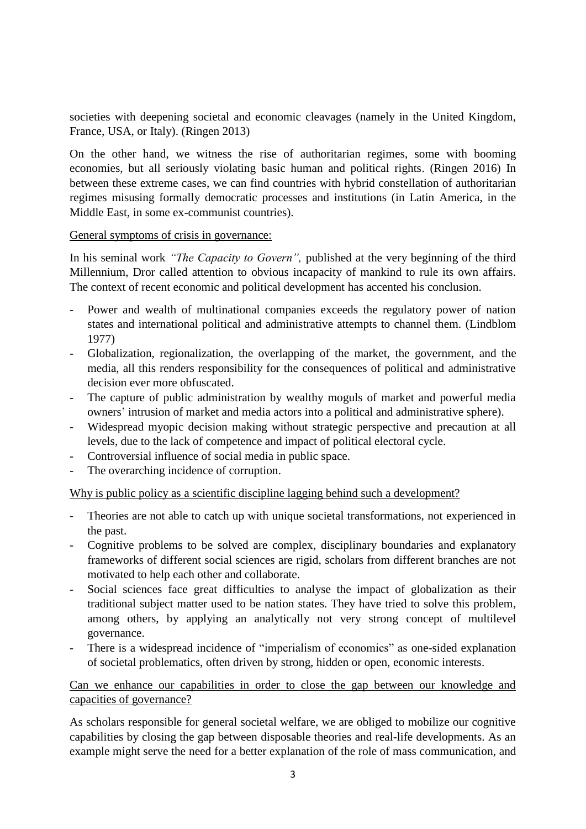societies with deepening societal and economic cleavages (namely in the United Kingdom, France, USA, or Italy). (Ringen 2013)

On the other hand, we witness the rise of authoritarian regimes, some with booming economies, but all seriously violating basic human and political rights. (Ringen 2016) In between these extreme cases, we can find countries with hybrid constellation of authoritarian regimes misusing formally democratic processes and institutions (in Latin America, in the Middle East, in some ex-communist countries).

General symptoms of crisis in governance:

In his seminal work *"The Capacity to Govern",* published at the very beginning of the third Millennium, Dror called attention to obvious incapacity of mankind to rule its own affairs. The context of recent economic and political development has accented his conclusion.

- Power and wealth of multinational companies exceeds the regulatory power of nation states and international political and administrative attempts to channel them. (Lindblom 1977)
- Globalization, regionalization, the overlapping of the market, the government, and the media, all this renders responsibility for the consequences of political and administrative decision ever more obfuscated.
- The capture of public administration by wealthy moguls of market and powerful media owners' intrusion of market and media actors into a political and administrative sphere).
- Widespread myopic decision making without strategic perspective and precaution at all levels, due to the lack of competence and impact of political electoral cycle.
- Controversial influence of social media in public space.
- The overarching incidence of corruption.

Why is public policy as a scientific discipline lagging behind such a development?

- Theories are not able to catch up with unique societal transformations, not experienced in the past.
- Cognitive problems to be solved are complex, disciplinary boundaries and explanatory frameworks of different social sciences are rigid, scholars from different branches are not motivated to help each other and collaborate.
- Social sciences face great difficulties to analyse the impact of globalization as their traditional subject matter used to be nation states. They have tried to solve this problem, among others, by applying an analytically not very strong concept of multilevel governance.
- There is a widespread incidence of "imperialism of economics" as one-sided explanation of societal problematics, often driven by strong, hidden or open, economic interests.

Can we enhance our capabilities in order to close the gap between our knowledge and capacities of governance?

As scholars responsible for general societal welfare, we are obliged to mobilize our cognitive capabilities by closing the gap between disposable theories and real-life developments. As an example might serve the need for a better explanation of the role of mass communication, and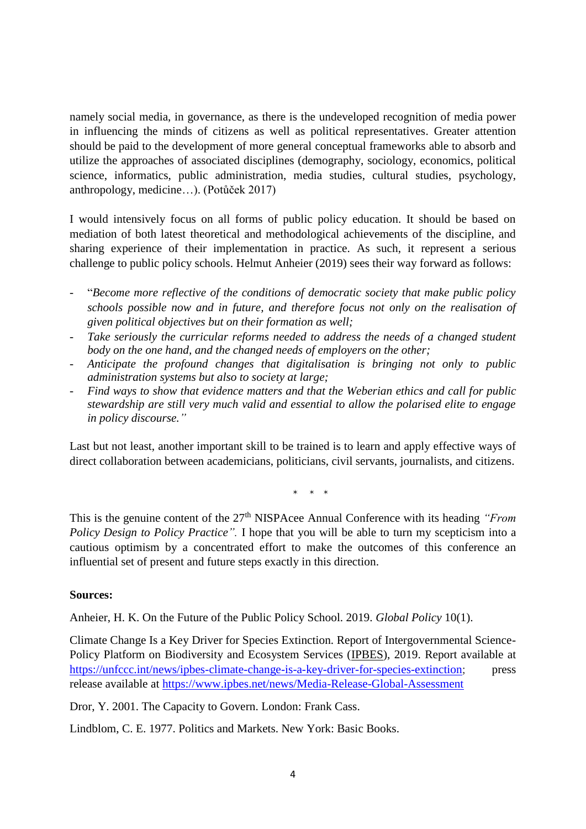namely social media, in governance, as there is the undeveloped recognition of media power in influencing the minds of citizens as well as political representatives. Greater attention should be paid to the development of more general conceptual frameworks able to absorb and utilize the approaches of associated disciplines (demography, sociology, economics, political science, informatics, public administration, media studies, cultural studies, psychology, anthropology, medicine…). (Potůček 2017)

I would intensively focus on all forms of public policy education. It should be based on mediation of both latest theoretical and methodological achievements of the discipline, and sharing experience of their implementation in practice. As such, it represent a serious challenge to public policy schools. Helmut Anheier (2019) sees their way forward as follows:

- "*Become more reflective of the conditions of democratic society that make public policy schools possible now and in future, and therefore focus not only on the realisation of given political objectives but on their formation as well;*
- *Take seriously the curricular reforms needed to address the needs of a changed student body on the one hand, and the changed needs of employers on the other;*
- *Anticipate the profound changes that digitalisation is bringing not only to public administration systems but also to society at large;*
- *Find ways to show that evidence matters and that the Weberian ethics and call for public stewardship are still very much valid and essential to allow the polarised elite to engage in policy discourse."*

Last but not least, another important skill to be trained is to learn and apply effective ways of direct collaboration between academicians, politicians, civil servants, journalists, and citizens.

 $*$  \*

This is the genuine content of the 27<sup>th</sup> NISPAcee Annual Conference with its heading *"From*" *Policy Design to Policy Practice".* I hope that you will be able to turn my scepticism into a cautious optimism by a concentrated effort to make the outcomes of this conference an influential set of present and future steps exactly in this direction.

## **Sources:**

Anheier, H. K. On the Future of the Public Policy School. 2019. *Global Policy* 10(1).

Climate Change Is a Key Driver for Species Extinction. Report of Intergovernmental Science-Policy Platform on Biodiversity and Ecosystem Services [\(IPBES\)](http://ipbes.net/), 2019. Report available at [https://unfccc.int/news/ipbes-climate-change-is-a-key-driver-for-species-extinction;](https://unfccc.int/news/ipbes-climate-change-is-a-key-driver-for-species-extinction) press release available at <https://www.ipbes.net/news/Media-Release-Global-Assessment>

Dror, Y. 2001. The Capacity to Govern. London: Frank Cass.

Lindblom, C. E. 1977. Politics and Markets. New York: Basic Books.